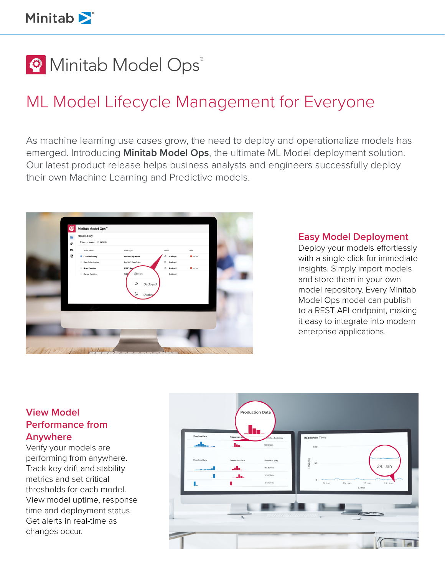**@** Minitab Model Ops®

# ML Model Lifecycle Management for Everyone

As machine learning use cases grow, the need to deploy and operationalize models has emerged. Introducing **Minitab Model Ops**, the ultimate ML Model deployment solution. Our latest product release helps business analysts and engineers successfully deploy their own Machine Learning and Predictive models.



#### **Easy Model Deployment**

Deploy your models effortlessly with a single click for immediate insights. Simply import models and store them in your own model repository. Every Minitab Model Ops model can publish to a REST API endpoint, making it easy to integrate into modern enterprise applications.

## **View Model Performance from Anywhere**

Verify your models are performing from anywhere. Track key drift and stability metrics and set critical thresholds for each model. View model uptime, response time and deployment status. Get alerts in real-time as changes occur.